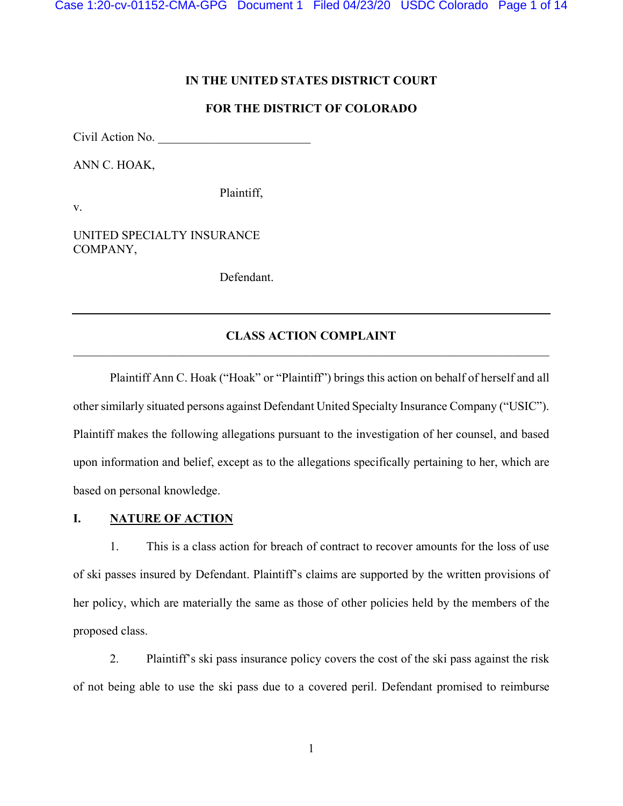Case 1:20-cv-01152-CMA-GPG Document 1 Filed 04/23/20 USDC Colorado Page 1 of 14

### **IN THE UNITED STATES DISTRICT COURT**

# **FOR THE DISTRICT OF COLORADO**

Civil Action No.

ANN C. HOAK,

Plaintiff,

v.

UNITED SPECIALTY INSURANCE COMPANY,

Defendant.

## **CLASS ACTION COMPLAINT**

Plaintiff Ann C. Hoak ("Hoak" or "Plaintiff") brings this action on behalf of herself and all other similarly situated persons against Defendant United Specialty Insurance Company ("USIC"). Plaintiff makes the following allegations pursuant to the investigation of her counsel, and based upon information and belief, except as to the allegations specifically pertaining to her, which are based on personal knowledge.

### **I. NATURE OF ACTION**

1. This is a class action for breach of contract to recover amounts for the loss of use of ski passes insured by Defendant. Plaintiff's claims are supported by the written provisions of her policy, which are materially the same as those of other policies held by the members of the proposed class.

2. Plaintiff's ski pass insurance policy covers the cost of the ski pass against the risk of not being able to use the ski pass due to a covered peril. Defendant promised to reimburse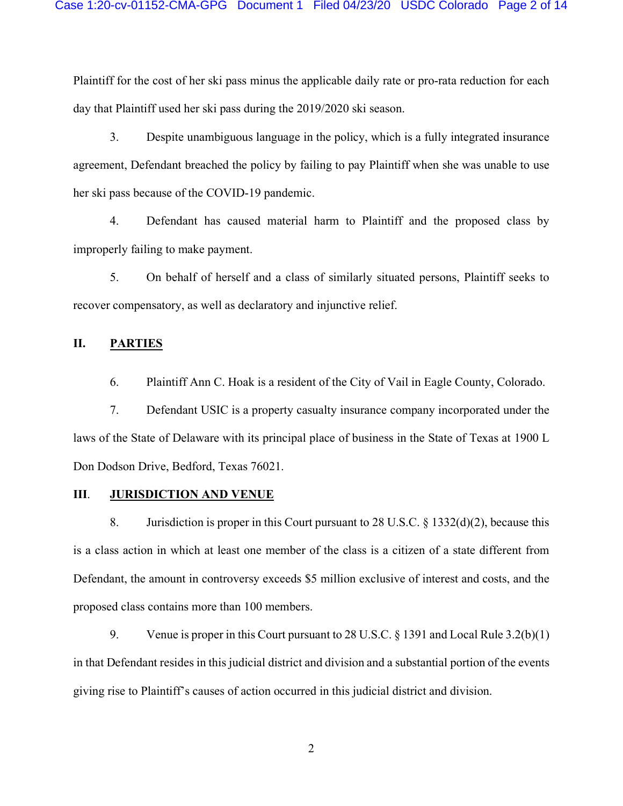Plaintiff for the cost of her ski pass minus the applicable daily rate or pro-rata reduction for each day that Plaintiff used her ski pass during the 2019/2020 ski season.

3. Despite unambiguous language in the policy, which is a fully integrated insurance agreement, Defendant breached the policy by failing to pay Plaintiff when she was unable to use her ski pass because of the COVID-19 pandemic.

4. Defendant has caused material harm to Plaintiff and the proposed class by improperly failing to make payment.

5. On behalf of herself and a class of similarly situated persons, Plaintiff seeks to recover compensatory, as well as declaratory and injunctive relief.

## **II. PARTIES**

6. Plaintiff Ann C. Hoak is a resident of the City of Vail in Eagle County, Colorado.

7. Defendant USIC is a property casualty insurance company incorporated under the laws of the State of Delaware with its principal place of business in the State of Texas at 1900 L Don Dodson Drive, Bedford, Texas 76021.

### **III**. **JURISDICTION AND VENUE**

8. Jurisdiction is proper in this Court pursuant to 28 U.S.C. § 1332(d)(2), because this is a class action in which at least one member of the class is a citizen of a state different from Defendant, the amount in controversy exceeds \$5 million exclusive of interest and costs, and the proposed class contains more than 100 members.

9. Venue is proper in this Court pursuant to 28 U.S.C. § 1391 and Local Rule 3.2(b)(1) in that Defendant resides in this judicial district and division and a substantial portion of the events giving rise to Plaintiff's causes of action occurred in this judicial district and division.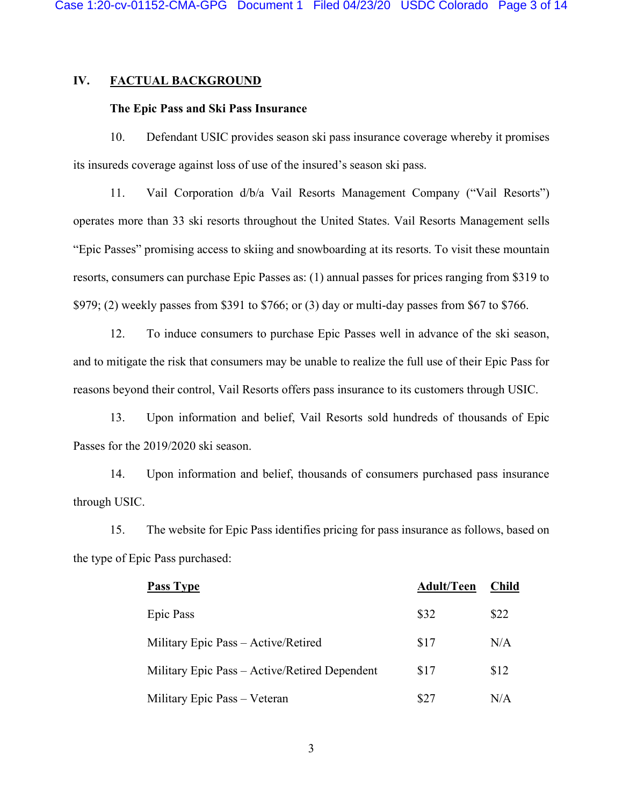## **IV. FACTUAL BACKGROUND**

#### **The Epic Pass and Ski Pass Insurance**

10. Defendant USIC provides season ski pass insurance coverage whereby it promises its insureds coverage against loss of use of the insured's season ski pass.

11. Vail Corporation d/b/a Vail Resorts Management Company ("Vail Resorts") operates more than 33 ski resorts throughout the United States. Vail Resorts Management sells "Epic Passes" promising access to skiing and snowboarding at its resorts. To visit these mountain resorts, consumers can purchase Epic Passes as: (1) annual passes for prices ranging from \$319 to \$979; (2) weekly passes from \$391 to \$766; or (3) day or multi-day passes from \$67 to \$766.

12. To induce consumers to purchase Epic Passes well in advance of the ski season, and to mitigate the risk that consumers may be unable to realize the full use of their Epic Pass for reasons beyond their control, Vail Resorts offers pass insurance to its customers through USIC.

13. Upon information and belief, Vail Resorts sold hundreds of thousands of Epic Passes for the 2019/2020 ski season.

14. Upon information and belief, thousands of consumers purchased pass insurance through USIC.

15. The website for Epic Pass identifies pricing for pass insurance as follows, based on the type of Epic Pass purchased:

| <b>Pass Type</b>                              | <b>Adult/Teen</b> | <b>Child</b> |
|-----------------------------------------------|-------------------|--------------|
| Epic Pass                                     | \$32              | \$22         |
| Military Epic Pass - Active/Retired           | \$17              | N/A          |
| Military Epic Pass – Active/Retired Dependent | \$17              | \$12         |
| Military Epic Pass - Veteran                  | \$27              | N/A          |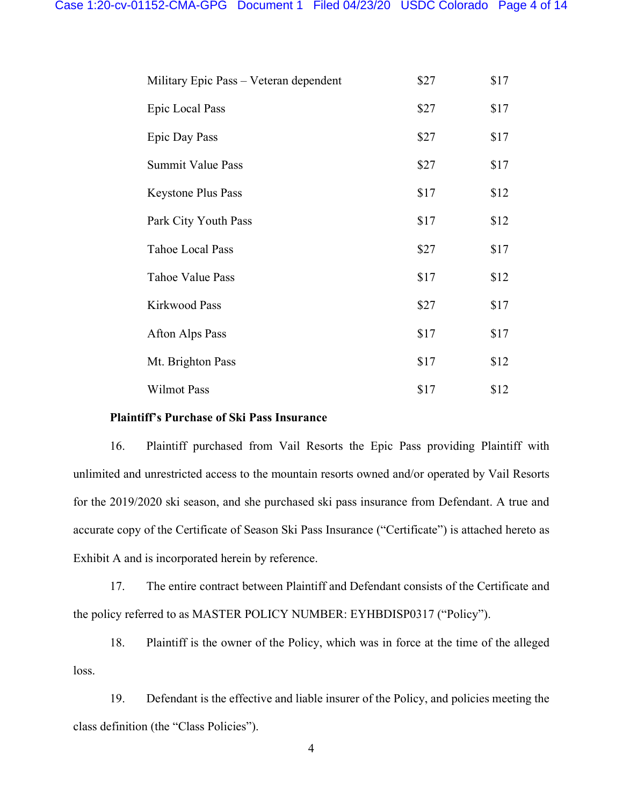| Military Epic Pass – Veteran dependent | \$27 | \$17 |
|----------------------------------------|------|------|
| Epic Local Pass                        | \$27 | \$17 |
| Epic Day Pass                          | \$27 | \$17 |
| <b>Summit Value Pass</b>               | \$27 | \$17 |
| <b>Keystone Plus Pass</b>              | \$17 | \$12 |
| Park City Youth Pass                   | \$17 | \$12 |
| <b>Tahoe Local Pass</b>                | \$27 | \$17 |
| Tahoe Value Pass                       | \$17 | \$12 |
| Kirkwood Pass                          | \$27 | \$17 |
| Afton Alps Pass                        | \$17 | \$17 |
| Mt. Brighton Pass                      | \$17 | \$12 |
| <b>Wilmot Pass</b>                     | \$17 | \$12 |

#### **Plaintiff's Purchase of Ski Pass Insurance**

16. Plaintiff purchased from Vail Resorts the Epic Pass providing Plaintiff with unlimited and unrestricted access to the mountain resorts owned and/or operated by Vail Resorts for the 2019/2020 ski season, and she purchased ski pass insurance from Defendant. A true and accurate copy of the Certificate of Season Ski Pass Insurance ("Certificate") is attached hereto as Exhibit A and is incorporated herein by reference.

17. The entire contract between Plaintiff and Defendant consists of the Certificate and the policy referred to as MASTER POLICY NUMBER: EYHBDISP0317 ("Policy").

18. Plaintiff is the owner of the Policy, which was in force at the time of the alleged loss.

19. Defendant is the effective and liable insurer of the Policy, and policies meeting the class definition (the "Class Policies").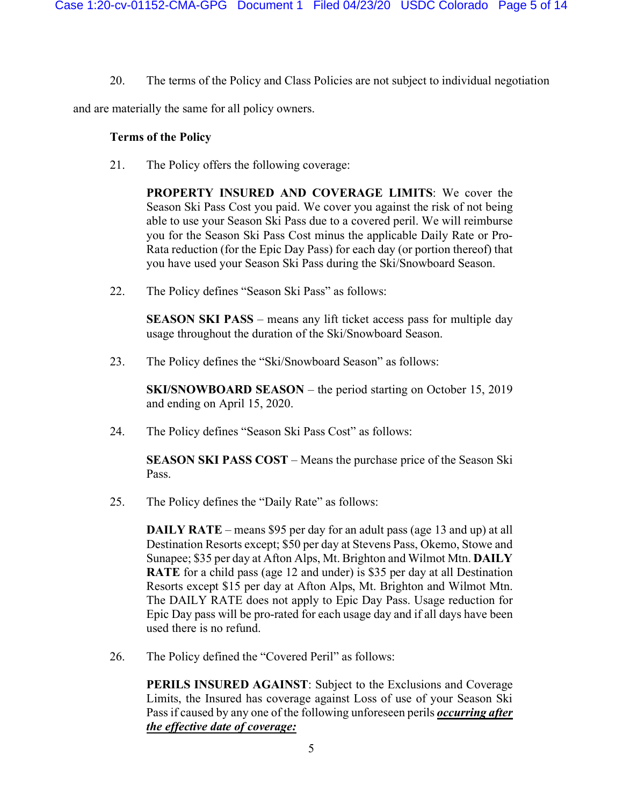20. The terms of the Policy and Class Policies are not subject to individual negotiation

and are materially the same for all policy owners.

### **Terms of the Policy**

21. The Policy offers the following coverage:

**PROPERTY INSURED AND COVERAGE LIMITS**: We cover the Season Ski Pass Cost you paid. We cover you against the risk of not being able to use your Season Ski Pass due to a covered peril. We will reimburse you for the Season Ski Pass Cost minus the applicable Daily Rate or Pro-Rata reduction (for the Epic Day Pass) for each day (or portion thereof) that you have used your Season Ski Pass during the Ski/Snowboard Season.

22. The Policy defines "Season Ski Pass" as follows:

**SEASON SKI PASS** – means any lift ticket access pass for multiple day usage throughout the duration of the Ski/Snowboard Season.

23. The Policy defines the "Ski/Snowboard Season" as follows:

**SKI/SNOWBOARD SEASON** – the period starting on October 15, 2019 and ending on April 15, 2020.

24. The Policy defines "Season Ski Pass Cost" as follows:

**SEASON SKI PASS COST** – Means the purchase price of the Season Ski Pass.

25. The Policy defines the "Daily Rate" as follows:

**DAILY RATE** – means \$95 per day for an adult pass (age 13 and up) at all Destination Resorts except; \$50 per day at Stevens Pass, Okemo, Stowe and Sunapee; \$35 per day at Afton Alps, Mt. Brighton and Wilmot Mtn. **DAILY RATE** for a child pass (age 12 and under) is \$35 per day at all Destination Resorts except \$15 per day at Afton Alps, Mt. Brighton and Wilmot Mtn. The DAILY RATE does not apply to Epic Day Pass. Usage reduction for Epic Day pass will be pro-rated for each usage day and if all days have been used there is no refund.

26. The Policy defined the "Covered Peril" as follows:

**PERILS INSURED AGAINST**: Subject to the Exclusions and Coverage Limits, the Insured has coverage against Loss of use of your Season Ski Pass if caused by any one of the following unforeseen perils *occurring after the effective date of coverage:*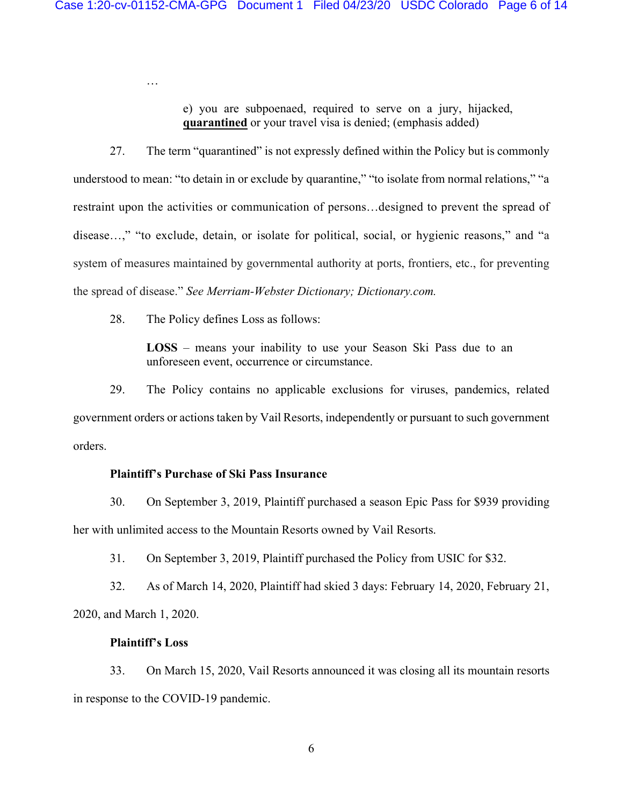e) you are subpoenaed, required to serve on a jury, hijacked, **quarantined** or your travel visa is denied; (emphasis added)

27. The term "quarantined" is not expressly defined within the Policy but is commonly understood to mean: "to detain in or exclude by quarantine," "to isolate from normal relations," "a restraint upon the activities or communication of persons…designed to prevent the spread of disease…," "to exclude, detain, or isolate for political, social, or hygienic reasons," and "a system of measures maintained by governmental authority at ports, frontiers, etc., for preventing the spread of disease." *See Merriam-Webster Dictionary; Dictionary.com.*

28. The Policy defines Loss as follows:

…

**LOSS** – means your inability to use your Season Ski Pass due to an unforeseen event, occurrence or circumstance.

29. The Policy contains no applicable exclusions for viruses, pandemics, related government orders or actions taken by Vail Resorts, independently or pursuant to such government orders.

#### **Plaintiff's Purchase of Ski Pass Insurance**

30. On September 3, 2019, Plaintiff purchased a season Epic Pass for \$939 providing her with unlimited access to the Mountain Resorts owned by Vail Resorts.

31. On September 3, 2019, Plaintiff purchased the Policy from USIC for \$32.

32. As of March 14, 2020, Plaintiff had skied 3 days: February 14, 2020, February 21, 2020, and March 1, 2020.

#### **Plaintiff's Loss**

33. On March 15, 2020, Vail Resorts announced it was closing all its mountain resorts in response to the COVID-19 pandemic.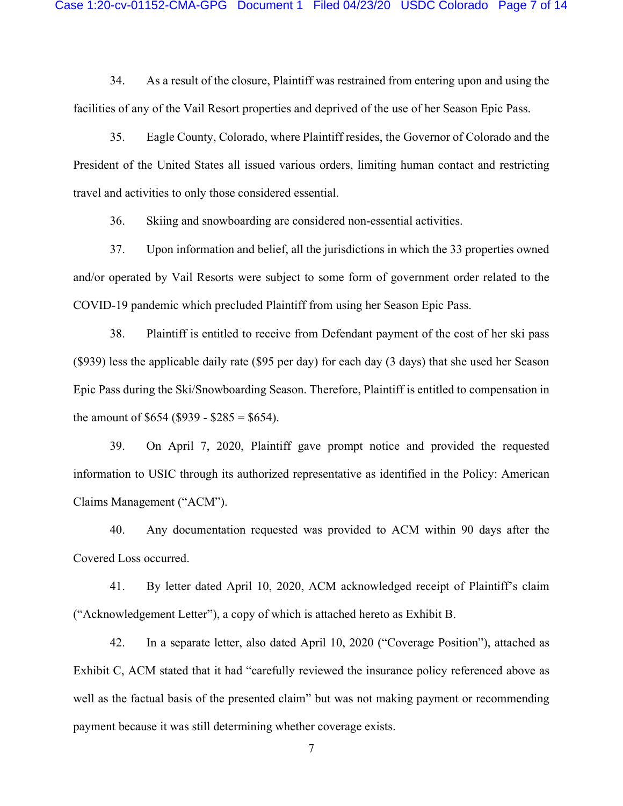34. As a result of the closure, Plaintiff was restrained from entering upon and using the facilities of any of the Vail Resort properties and deprived of the use of her Season Epic Pass.

35. Eagle County, Colorado, where Plaintiff resides, the Governor of Colorado and the President of the United States all issued various orders, limiting human contact and restricting travel and activities to only those considered essential.

36. Skiing and snowboarding are considered non-essential activities.

37. Upon information and belief, all the jurisdictions in which the 33 properties owned and/or operated by Vail Resorts were subject to some form of government order related to the COVID-19 pandemic which precluded Plaintiff from using her Season Epic Pass.

38. Plaintiff is entitled to receive from Defendant payment of the cost of her ski pass (\$939) less the applicable daily rate (\$95 per day) for each day (3 days) that she used her Season Epic Pass during the Ski/Snowboarding Season. Therefore, Plaintiff is entitled to compensation in the amount of  $$654 ($939 - $285 = $654)$ .

39. On April 7, 2020, Plaintiff gave prompt notice and provided the requested information to USIC through its authorized representative as identified in the Policy: American Claims Management ("ACM").

40. Any documentation requested was provided to ACM within 90 days after the Covered Loss occurred.

41. By letter dated April 10, 2020, ACM acknowledged receipt of Plaintiff's claim ("Acknowledgement Letter"), a copy of which is attached hereto as Exhibit B.

42. In a separate letter, also dated April 10, 2020 ("Coverage Position"), attached as Exhibit C, ACM stated that it had "carefully reviewed the insurance policy referenced above as well as the factual basis of the presented claim" but was not making payment or recommending payment because it was still determining whether coverage exists.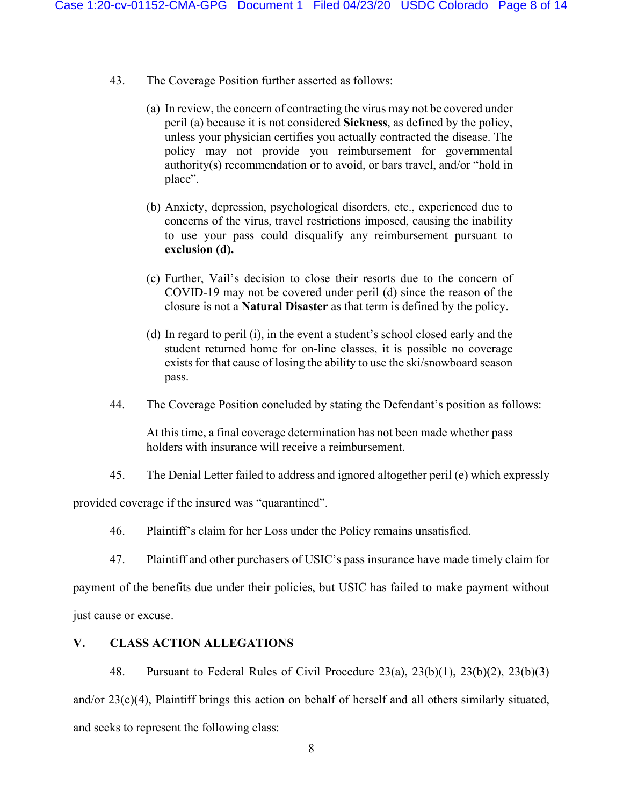- 43. The Coverage Position further asserted as follows:
	- (a) In review, the concern of contracting the virus may not be covered under peril (a) because it is not considered **Sickness**, as defined by the policy, unless your physician certifies you actually contracted the disease. The policy may not provide you reimbursement for governmental authority(s) recommendation or to avoid, or bars travel, and/or "hold in place".
	- (b) Anxiety, depression, psychological disorders, etc., experienced due to concerns of the virus, travel restrictions imposed, causing the inability to use your pass could disqualify any reimbursement pursuant to **exclusion (d).**
	- (c) Further, Vail's decision to close their resorts due to the concern of COVID-19 may not be covered under peril (d) since the reason of the closure is not a **Natural Disaster** as that term is defined by the policy.
	- (d) In regard to peril (i), in the event a student's school closed early and the student returned home for on-line classes, it is possible no coverage exists for that cause of losing the ability to use the ski/snowboard season pass.
- 44. The Coverage Position concluded by stating the Defendant's position as follows:

At this time, a final coverage determination has not been made whether pass holders with insurance will receive a reimbursement.

45. The Denial Letter failed to address and ignored altogether peril (e) which expressly

provided coverage if the insured was "quarantined".

- 46. Plaintiff's claim for her Loss under the Policy remains unsatisfied.
- 47. Plaintiff and other purchasers of USIC's pass insurance have made timely claim for

payment of the benefits due under their policies, but USIC has failed to make payment without just cause or excuse.

## **V. CLASS ACTION ALLEGATIONS**

48. Pursuant to Federal Rules of Civil Procedure 23(a), 23(b)(1), 23(b)(2), 23(b)(3) and/or 23(c)(4), Plaintiff brings this action on behalf of herself and all others similarly situated, and seeks to represent the following class: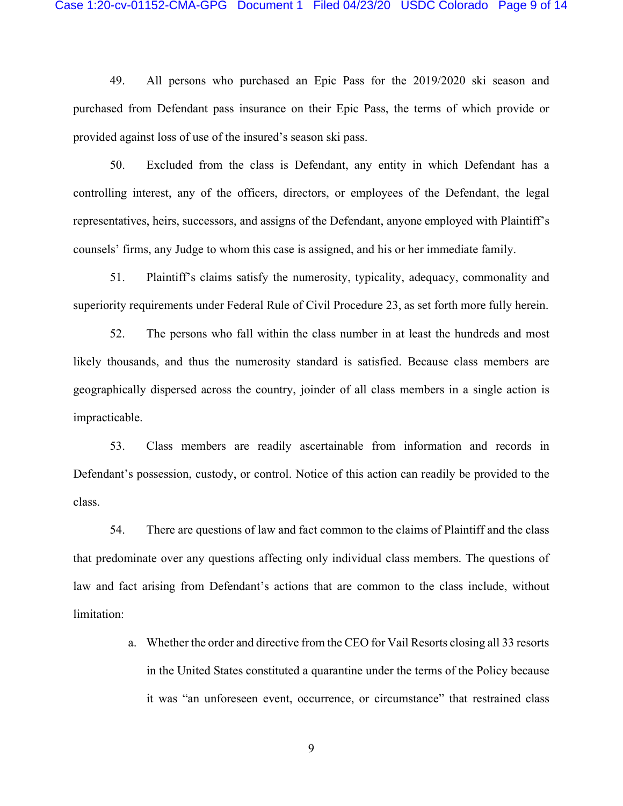49. All persons who purchased an Epic Pass for the 2019/2020 ski season and purchased from Defendant pass insurance on their Epic Pass, the terms of which provide or provided against loss of use of the insured's season ski pass.

50. Excluded from the class is Defendant, any entity in which Defendant has a controlling interest, any of the officers, directors, or employees of the Defendant, the legal representatives, heirs, successors, and assigns of the Defendant, anyone employed with Plaintiff's counsels' firms, any Judge to whom this case is assigned, and his or her immediate family.

51. Plaintiff's claims satisfy the numerosity, typicality, adequacy, commonality and superiority requirements under Federal Rule of Civil Procedure 23, as set forth more fully herein.

52. The persons who fall within the class number in at least the hundreds and most likely thousands, and thus the numerosity standard is satisfied. Because class members are geographically dispersed across the country, joinder of all class members in a single action is impracticable.

53. Class members are readily ascertainable from information and records in Defendant's possession, custody, or control. Notice of this action can readily be provided to the class.

54. There are questions of law and fact common to the claims of Plaintiff and the class that predominate over any questions affecting only individual class members. The questions of law and fact arising from Defendant's actions that are common to the class include, without limitation:

> a. Whether the order and directive from the CEO for Vail Resorts closing all 33 resorts in the United States constituted a quarantine under the terms of the Policy because it was "an unforeseen event, occurrence, or circumstance" that restrained class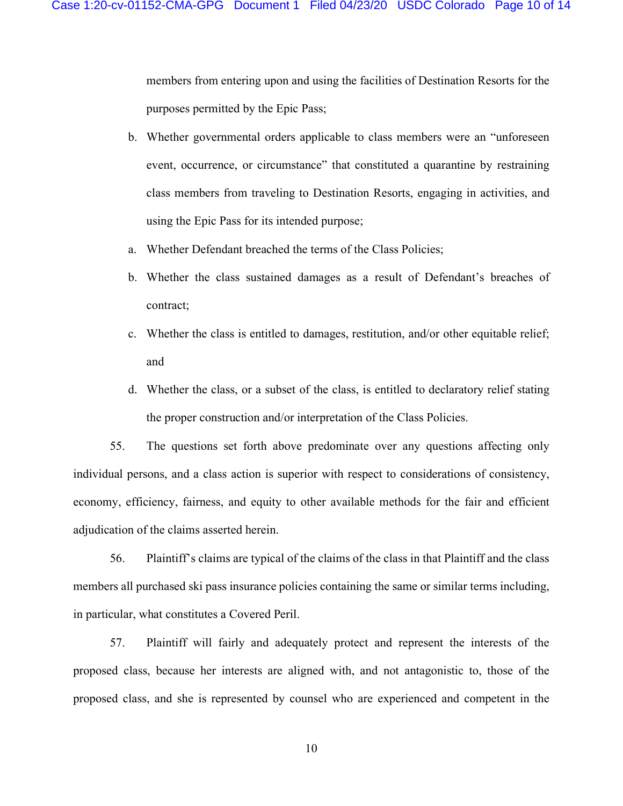members from entering upon and using the facilities of Destination Resorts for the purposes permitted by the Epic Pass;

- b. Whether governmental orders applicable to class members were an "unforeseen event, occurrence, or circumstance" that constituted a quarantine by restraining class members from traveling to Destination Resorts, engaging in activities, and using the Epic Pass for its intended purpose;
- a. Whether Defendant breached the terms of the Class Policies;
- b. Whether the class sustained damages as a result of Defendant's breaches of contract;
- c. Whether the class is entitled to damages, restitution, and/or other equitable relief; and
- d. Whether the class, or a subset of the class, is entitled to declaratory relief stating the proper construction and/or interpretation of the Class Policies.

55. The questions set forth above predominate over any questions affecting only individual persons, and a class action is superior with respect to considerations of consistency, economy, efficiency, fairness, and equity to other available methods for the fair and efficient adjudication of the claims asserted herein.

56. Plaintiff's claims are typical of the claims of the class in that Plaintiff and the class members all purchased ski pass insurance policies containing the same or similar terms including, in particular, what constitutes a Covered Peril.

57. Plaintiff will fairly and adequately protect and represent the interests of the proposed class, because her interests are aligned with, and not antagonistic to, those of the proposed class, and she is represented by counsel who are experienced and competent in the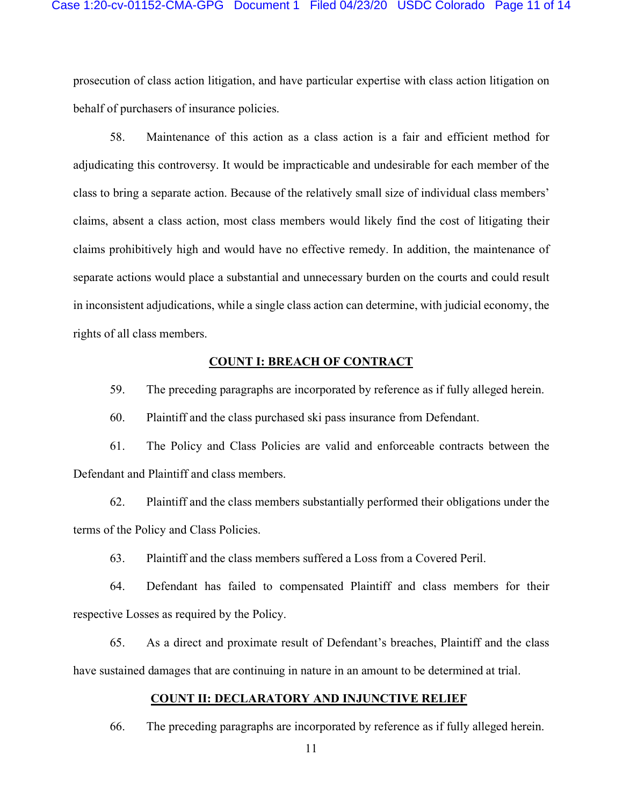prosecution of class action litigation, and have particular expertise with class action litigation on behalf of purchasers of insurance policies.

58. Maintenance of this action as a class action is a fair and efficient method for adjudicating this controversy. It would be impracticable and undesirable for each member of the class to bring a separate action. Because of the relatively small size of individual class members' claims, absent a class action, most class members would likely find the cost of litigating their claims prohibitively high and would have no effective remedy. In addition, the maintenance of separate actions would place a substantial and unnecessary burden on the courts and could result in inconsistent adjudications, while a single class action can determine, with judicial economy, the rights of all class members.

### **COUNT I: BREACH OF CONTRACT**

59. The preceding paragraphs are incorporated by reference as if fully alleged herein.

60. Plaintiff and the class purchased ski pass insurance from Defendant.

61. The Policy and Class Policies are valid and enforceable contracts between the Defendant and Plaintiff and class members.

62. Plaintiff and the class members substantially performed their obligations under the terms of the Policy and Class Policies.

63. Plaintiff and the class members suffered a Loss from a Covered Peril.

64. Defendant has failed to compensated Plaintiff and class members for their respective Losses as required by the Policy.

65. As a direct and proximate result of Defendant's breaches, Plaintiff and the class have sustained damages that are continuing in nature in an amount to be determined at trial.

#### **COUNT II: DECLARATORY AND INJUNCTIVE RELIEF**

66. The preceding paragraphs are incorporated by reference as if fully alleged herein.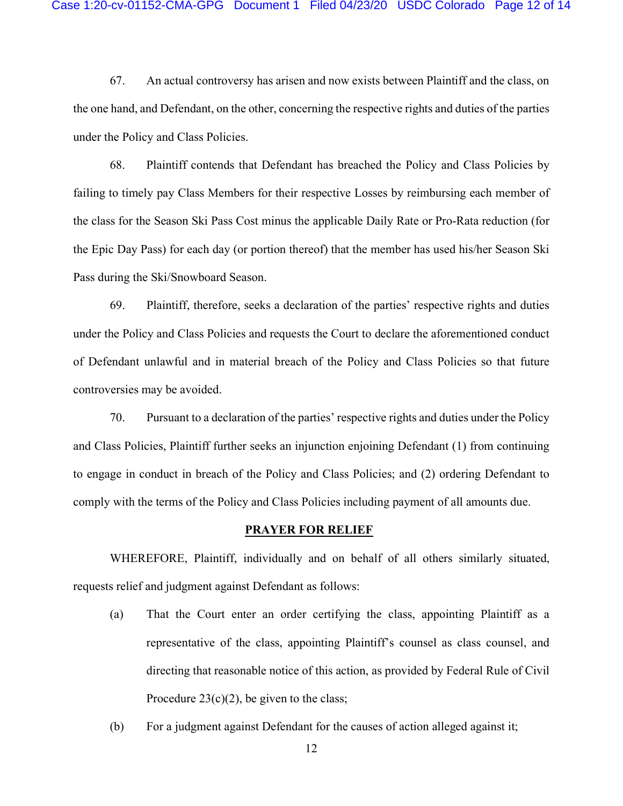67. An actual controversy has arisen and now exists between Plaintiff and the class, on the one hand, and Defendant, on the other, concerning the respective rights and duties of the parties under the Policy and Class Policies.

68. Plaintiff contends that Defendant has breached the Policy and Class Policies by failing to timely pay Class Members for their respective Losses by reimbursing each member of the class for the Season Ski Pass Cost minus the applicable Daily Rate or Pro-Rata reduction (for the Epic Day Pass) for each day (or portion thereof) that the member has used his/her Season Ski Pass during the Ski/Snowboard Season.

69. Plaintiff, therefore, seeks a declaration of the parties' respective rights and duties under the Policy and Class Policies and requests the Court to declare the aforementioned conduct of Defendant unlawful and in material breach of the Policy and Class Policies so that future controversies may be avoided.

70. Pursuant to a declaration of the parties' respective rights and duties under the Policy and Class Policies, Plaintiff further seeks an injunction enjoining Defendant (1) from continuing to engage in conduct in breach of the Policy and Class Policies; and (2) ordering Defendant to comply with the terms of the Policy and Class Policies including payment of all amounts due.

#### **PRAYER FOR RELIEF**

WHEREFORE, Plaintiff, individually and on behalf of all others similarly situated, requests relief and judgment against Defendant as follows:

- (a) That the Court enter an order certifying the class, appointing Plaintiff as a representative of the class, appointing Plaintiff's counsel as class counsel, and directing that reasonable notice of this action, as provided by Federal Rule of Civil Procedure  $23(c)(2)$ , be given to the class;
- (b) For a judgment against Defendant for the causes of action alleged against it;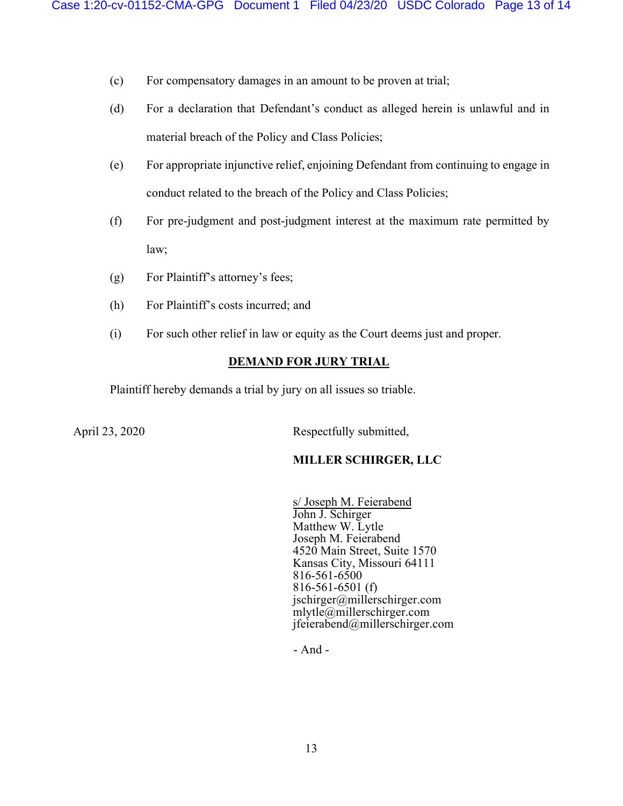- (c) For compensatory damages in an amount to be proven at trial;
- (d) For a declaration that Defendant's conduct as alleged herein is unlawful and in material breach of the Policy and Class Policies;
- (e) For appropriate injunctive relief, enjoining Defendant from continuing to engage in conduct related to the breach of the Policy and Class Policies;
- (f) For pre-judgment and post-judgment interest at the maximum rate permitted by law;
- (g) For Plaintiff's attorney's fees;
- (h) For Plaintiff's costs incurred; and
- (i) For such other relief in law or equity as the Court deems just and proper.

### **DEMAND FOR JURY TRIAL**

Plaintiff hereby demands a trial by jury on all issues so triable.

April 23, 2020 Respectfully submitted,

#### **MILLER SCHIRGER, LLC**

s/ Joseph M. Feierabend John J. Schirger Matthew W. Lytle Joseph M. Feierabend 4520 Main Street, Suite 1570 Kansas City, Missouri 64111 816-561-6500 816-561-6501 (f) jschirger@millerschirger.com mlytle@millerschirger.com jfeierabend@millerschirger.com

- And -